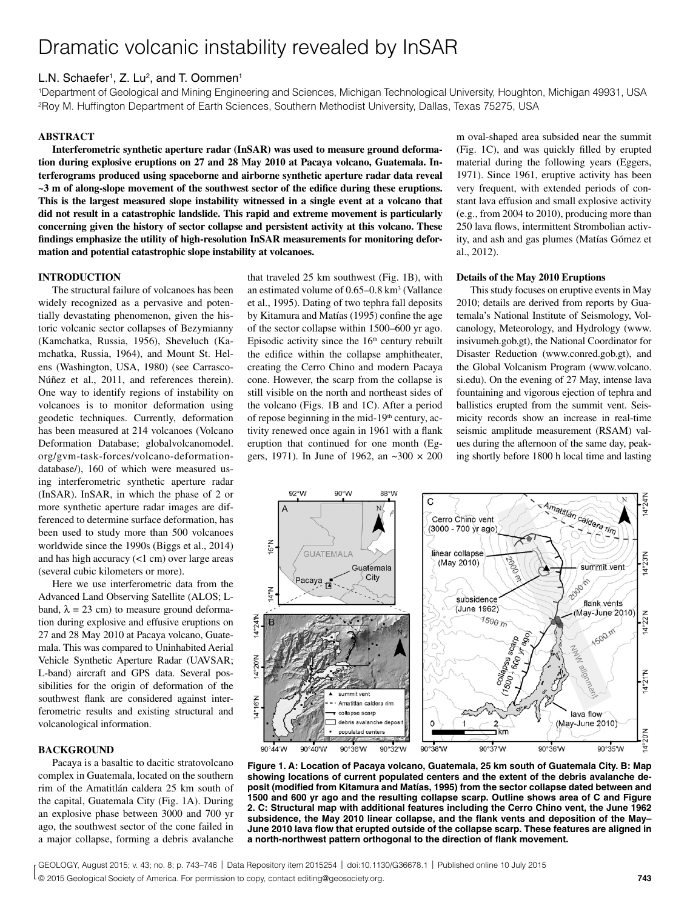# Dramatic volcanic instability revealed by InSAR

# L.N. Schaefer<sup>1</sup>, Z. Lu<sup>2</sup>, and T. Oommen<sup>1</sup>

1Department of Geological and Mining Engineering and Sciences, Michigan Technological University, Houghton, Michigan 49931, USA 2Roy M. Huffington Department of Earth Sciences, Southern Methodist University, Dallas, Texas 75275, USA

# **ABSTRACT**

**Interferometric synthetic aperture radar (InSAR) was used to measure ground deformation during explosive eruptions on 27 and 28 May 2010 at Pacaya volcano, Guatemala. Interferograms produced using spaceborne and airborne synthetic aperture radar data reveal ~3 m of along-slope movement of the southwest sector of the edifice during these eruptions. This is the largest measured slope instability witnessed in a single event at a volcano that did not result in a catastrophic landslide. This rapid and extreme movement is particularly concerning given the history of sector collapse and persistent activity at this volcano. These findings emphasize the utility of high-resolution InSAR measurements for monitoring deformation and potential catastrophic slope instability at volcanoes.**

## **INTRODUCTION**

The structural failure of volcanoes has been widely recognized as a pervasive and potentially devastating phenomenon, given the historic volcanic sector collapses of Bezymianny (Kamchatka, Russia, 1956), Sheveluch (Kamchatka, Russia, 1964), and Mount St. Helens (Washington, USA, 1980) (see Carrasco-Núñez et al., 2011, and references therein). One way to identify regions of instability on volcanoes is to monitor deformation using geodetic techniques. Currently, deformation has been measured at 214 volcanoes (Volcano Deformation Database; globalvolcanomodel. org/gvm-task-forces/volcano-deformationdatabase/), 160 of which were measured using interferometric synthetic aperture radar (InSAR). InSAR, in which the phase of 2 or more synthetic aperture radar images are differenced to determine surface deformation, has been used to study more than 500 volcanoes worldwide since the 1990s (Biggs et al., 2014) and has high accuracy (<1 cm) over large areas (several cubic kilometers or more).

Here we use interferometric data from the Advanced Land Observing Satellite (ALOS; Lband,  $\lambda = 23$  cm) to measure ground deformation during explosive and effusive eruptions on 27 and 28 May 2010 at Pacaya volcano, Guatemala. This was compared to Uninhabited Aerial Vehicle Synthetic Aperture Radar (UAVSAR; L-band) aircraft and GPS data. Several possibilities for the origin of deformation of the southwest flank are considered against interferometric results and existing structural and volcanological information.

## **BACKGROUND**

Pacaya is a basaltic to dacitic stratovolcano complex in Guatemala, located on the southern rim of the Amatitlán caldera 25 km south of the capital, Guatemala City (Fig. 1A). During an explosive phase between 3000 and 700 yr ago, the southwest sector of the cone failed in a major collapse, forming a debris avalanche

that traveled 25 km southwest (Fig. 1B), with an estimated volume of 0.65–0.8 km<sup>3</sup> (Vallance et al., 1995). Dating of two tephra fall deposits by Kitamura and Matías (1995) confine the age of the sector collapse within 1500–600 yr ago. Episodic activity since the  $16<sup>th</sup>$  century rebuilt the edifice within the collapse amphitheater, creating the Cerro Chino and modern Pacaya cone. However, the scarp from the collapse is still visible on the north and northeast sides of the volcano (Figs. 1B and 1C). After a period of repose beginning in the mid-19th century, activity renewed once again in 1961 with a flank eruption that continued for one month (Eggers, 1971). In June of 1962, an  $\sim 300 \times 200$ 

m oval-shaped area subsided near the summit (Fig. 1C), and was quickly filled by erupted material during the following years (Eggers, 1971). Since 1961, eruptive activity has been very frequent, with extended periods of constant lava effusion and small explosive activity (e.g., from 2004 to 2010), producing more than 250 lava flows, intermittent Strombolian activity, and ash and gas plumes (Matías Gómez et al., 2012).

#### **Details of the May 2010 Eruptions**

This study focuses on eruptive events in May 2010; details are derived from reports by Guatemala's National Institute of Seismology, Volcanology, Meteorology, and Hydrology (www. insivumeh.gob.gt), the National Coordinator for Disaster Reduction (www.conred.gob.gt), and the Global Volcanism Program (www.volcano. si.edu). On the evening of 27 May, intense lava fountaining and vigorous ejection of tephra and ballistics erupted from the summit vent. Seismicity records show an increase in real-time seismic amplitude measurement (RSAM) values during the afternoon of the same day, peaking shortly before 1800 h local time and lasting



**Figure 1. A: Location of Pacaya volcano, Guatemala, 25 km south of Guatemala City. B: Map showing locations of current populated centers and the extent of the debris avalanche deposit (modified from Kitamura and Matías, 1995) from the sector collapse dated between and 1500 and 600 yr ago and the resulting collapse scarp. Outline shows area of C and Figure 2. C: Structural map with additional features including the Cerro Chino vent, the June 1962 subsidence, the May 2010 linear collapse, and the flank vents and deposition of the May– June 2010 lava flow that erupted outside of the collapse scarp. These features are aligned in a north-northwest pattern orthogonal to the direction of flank movement.**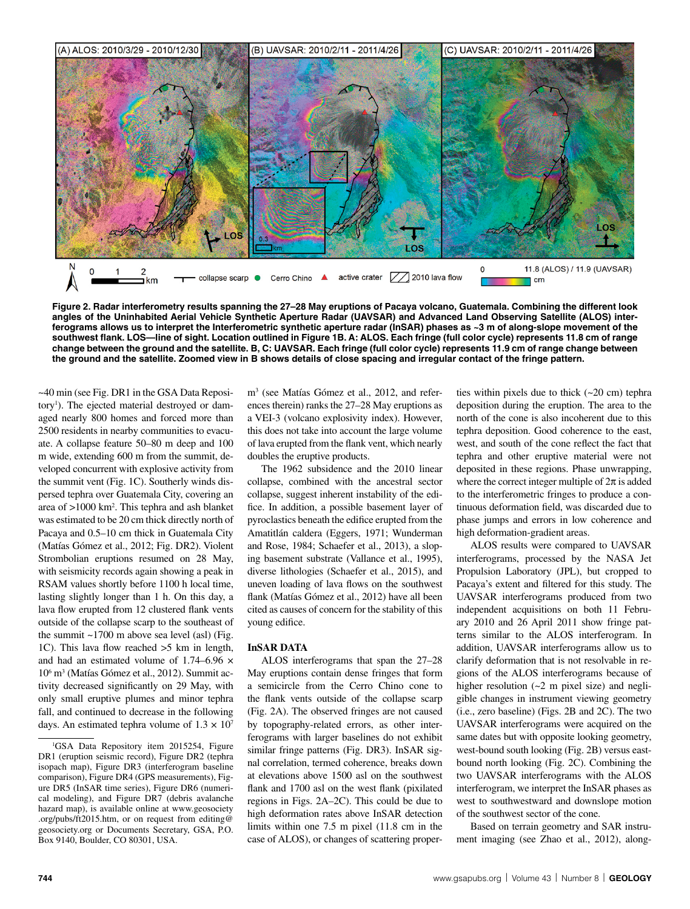

**Figure 2. Radar interferometry results spanning the 27–28 May eruptions of Pacaya volcano, Guatemala. Combining the different look angles of the Uninhabited Aerial Vehicle Synthetic Aperture Radar (UAVSAR) and Advanced Land Observing Satellite (ALOS) interferograms allows us to interpret the Interferometric synthetic aperture radar (InSAR) phases as ~3 m of along-slope movement of the southwest flank. LOS—line of sight. Location outlined in Figure 1B. A: ALOS. Each fringe (full color cycle) represents 11.8 cm of range change between the ground and the satellite. B, C: UAVSAR. Each fringe (full color cycle) represents 11.9 cm of range change between the ground and the satellite. Zoomed view in B shows details of close spacing and irregular contact of the fringe pattern.**

~40 min (see Fig. DR1 in the GSA Data Repository<sup>1</sup>). The ejected material destroyed or damaged nearly 800 homes and forced more than 2500 residents in nearby communities to evacuate. A collapse feature 50–80 m deep and 100 m wide, extending 600 m from the summit, developed concurrent with explosive activity from the summit vent (Fig. 1C). Southerly winds dispersed tephra over Guatemala City, covering an area of >1000 km2 . This tephra and ash blanket was estimated to be 20 cm thick directly north of Pacaya and 0.5–10 cm thick in Guatemala City (Matías Gómez et al., 2012; Fig. DR2). Violent Strombolian eruptions resumed on 28 May, with seismicity records again showing a peak in RSAM values shortly before 1100 h local time, lasting slightly longer than 1 h. On this day, a lava flow erupted from 12 clustered flank vents outside of the collapse scarp to the southeast of the summit ~1700 m above sea level (asl) (Fig. 1C). This lava flow reached >5 km in length, and had an estimated volume of 1.74–6.96 × 106 m3 (Matías Gómez et al., 2012). Summit activity decreased significantly on 29 May, with only small eruptive plumes and minor tephra fall, and continued to decrease in the following days. An estimated tephra volume of  $1.3 \times 10^7$ 

m3 (see Matías Gómez et al., 2012, and references therein) ranks the 27–28 May eruptions as a VEI-3 (volcano explosivity index). However, this does not take into account the large volume of lava erupted from the flank vent, which nearly doubles the eruptive products.

The 1962 subsidence and the 2010 linear collapse, combined with the ancestral sector collapse, suggest inherent instability of the edifice. In addition, a possible basement layer of pyroclastics beneath the edifice erupted from the Amatitlán caldera (Eggers, 1971; Wunderman and Rose, 1984; Schaefer et al., 2013), a sloping basement substrate (Vallance et al., 1995), diverse lithologies (Schaefer et al., 2015), and uneven loading of lava flows on the southwest flank (Matías Gómez et al., 2012) have all been cited as causes of concern for the stability of this young edifice.

#### **InSAR DATA**

ALOS interferograms that span the 27–28 May eruptions contain dense fringes that form a semicircle from the Cerro Chino cone to the flank vents outside of the collapse scarp (Fig. 2A). The observed fringes are not caused by topography-related errors, as other interferograms with larger baselines do not exhibit similar fringe patterns (Fig. DR3). InSAR signal correlation, termed coherence, breaks down at elevations above 1500 asl on the southwest flank and 1700 asl on the west flank (pixilated regions in Figs. 2A–2C). This could be due to high deformation rates above InSAR detection limits within one 7.5 m pixel (11.8 cm in the case of ALOS), or changes of scattering properties within pixels due to thick (~20 cm) tephra deposition during the eruption. The area to the north of the cone is also incoherent due to this tephra deposition. Good coherence to the east, west, and south of the cone reflect the fact that tephra and other eruptive material were not deposited in these regions. Phase unwrapping, where the correct integer multiple of  $2\pi$  is added to the interferometric fringes to produce a continuous deformation field, was discarded due to phase jumps and errors in low coherence and high deformation-gradient areas.

ALOS results were compared to UAVSAR interferograms, processed by the NASA Jet Propulsion Laboratory (JPL), but cropped to Pacaya's extent and filtered for this study. The UAVSAR interferograms produced from two independent acquisitions on both 11 February 2010 and 26 April 2011 show fringe patterns similar to the ALOS interferogram. In addition, UAVSAR interferograms allow us to clarify deformation that is not resolvable in regions of the ALOS interferograms because of higher resolution (~2 m pixel size) and negligible changes in instrument viewing geometry (i.e., zero baseline) (Figs. 2B and 2C). The two UAVSAR interferograms were acquired on the same dates but with opposite looking geometry, west-bound south looking (Fig. 2B) versus eastbound north looking (Fig. 2C). Combining the two UAVSAR interferograms with the ALOS interferogram, we interpret the InSAR phases as west to southwestward and downslope motion of the southwest sector of the cone.

Based on terrain geometry and SAR instrument imaging (see Zhao et al., 2012), along-

<sup>&</sup>lt;sup>1</sup>GSA Data Repository item 2015254, Figure DR1 (eruption seismic record), Figure DR2 (tephra isopach map), Figure DR3 (interferogram baseline comparison), Figure DR4 (GPS measurements), Figure DR5 (InSAR time series), Figure DR6 (numerical modeling), and Figure DR7 (debris avalanche hazard map), is available online at www.geosociety .org/pubs/ft2015.htm, or on request from editing@ geosociety.org or Documents Secretary, GSA, P.O. Box 9140, Boulder, CO 80301, USA.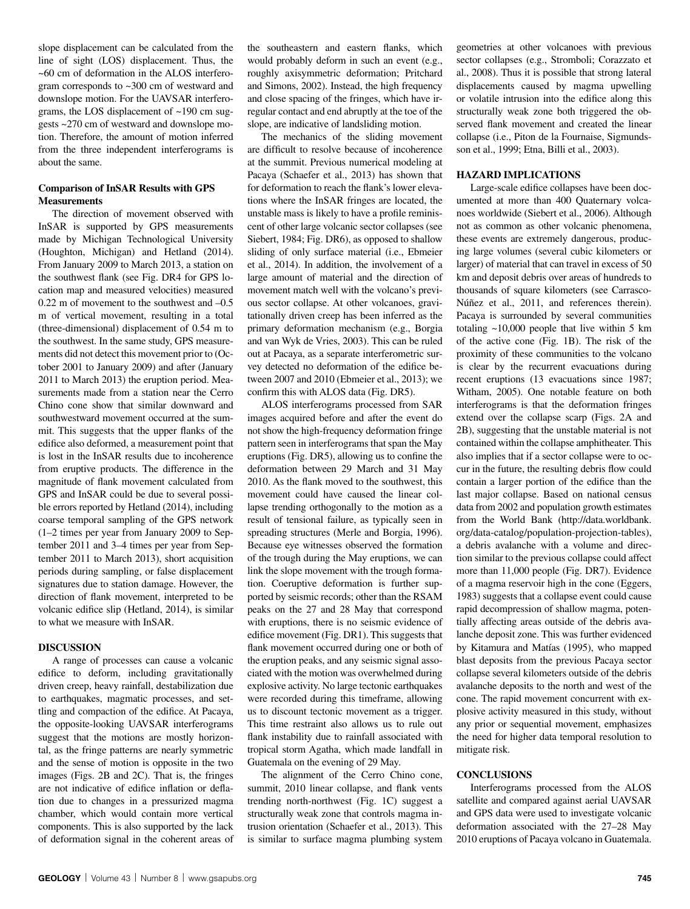slope displacement can be calculated from the line of sight (LOS) displacement. Thus, the ~60 cm of deformation in the ALOS interferogram corresponds to ~300 cm of westward and downslope motion. For the UAVSAR interferograms, the LOS displacement of ~190 cm suggests ~270 cm of westward and downslope motion. Therefore, the amount of motion inferred from the three independent interferograms is about the same.

# **Comparison of InSAR Results with GPS Measurements**

The direction of movement observed with InSAR is supported by GPS measurements made by Michigan Technological University (Houghton, Michigan) and Hetland (2014). From January 2009 to March 2013, a station on the southwest flank (see Fig. DR4 for GPS location map and measured velocities) measured 0.22 m of movement to the southwest and –0.5 m of vertical movement, resulting in a total (three-dimensional) displacement of 0.54 m to the southwest. In the same study, GPS measurements did not detect this movement prior to (October 2001 to January 2009) and after (January 2011 to March 2013) the eruption period. Measurements made from a station near the Cerro Chino cone show that similar downward and southwestward movement occurred at the summit. This suggests that the upper flanks of the edifice also deformed, a measurement point that is lost in the InSAR results due to incoherence from eruptive products. The difference in the magnitude of flank movement calculated from GPS and InSAR could be due to several possible errors reported by Hetland (2014), including coarse temporal sampling of the GPS network (1–2 times per year from January 2009 to September 2011 and 3–4 times per year from September 2011 to March 2013), short acquisition periods during sampling, or false displacement signatures due to station damage. However, the direction of flank movement, interpreted to be volcanic edifice slip (Hetland, 2014), is similar to what we measure with InSAR.

## **DISCUSSION**

A range of processes can cause a volcanic edifice to deform, including gravitationally driven creep, heavy rainfall, destabilization due to earthquakes, magmatic processes, and settling and compaction of the edifice. At Pacaya, the opposite-looking UAVSAR interferograms suggest that the motions are mostly horizontal, as the fringe patterns are nearly symmetric and the sense of motion is opposite in the two images (Figs. 2B and 2C). That is, the fringes are not indicative of edifice inflation or deflation due to changes in a pressurized magma chamber, which would contain more vertical components. This is also supported by the lack of deformation signal in the coherent areas of the southeastern and eastern flanks, which would probably deform in such an event (e.g., roughly axisymmetric deformation; Pritchard and Simons, 2002). Instead, the high frequency and close spacing of the fringes, which have irregular contact and end abruptly at the toe of the slope, are indicative of landsliding motion.

The mechanics of the sliding movement are difficult to resolve because of incoherence at the summit. Previous numerical modeling at Pacaya (Schaefer et al., 2013) has shown that for deformation to reach the flank's lower elevations where the InSAR fringes are located, the unstable mass is likely to have a profile reminiscent of other large volcanic sector collapses (see Siebert, 1984; Fig. DR6), as opposed to shallow sliding of only surface material (i.e., Ebmeier et al., 2014). In addition, the involvement of a large amount of material and the direction of movement match well with the volcano's previous sector collapse. At other volcanoes, gravitationally driven creep has been inferred as the primary deformation mechanism (e.g., Borgia and van Wyk de Vries, 2003). This can be ruled out at Pacaya, as a separate interferometric survey detected no deformation of the edifice between 2007 and 2010 (Ebmeier et al., 2013); we confirm this with ALOS data (Fig. DR5).

ALOS interferograms processed from SAR images acquired before and after the event do not show the high-frequency deformation fringe pattern seen in interferograms that span the May eruptions (Fig. DR5), allowing us to confine the deformation between 29 March and 31 May 2010. As the flank moved to the southwest, this movement could have caused the linear collapse trending orthogonally to the motion as a result of tensional failure, as typically seen in spreading structures (Merle and Borgia, 1996). Because eye witnesses observed the formation of the trough during the May eruptions, we can link the slope movement with the trough formation. Coeruptive deformation is further supported by seismic records; other than the RSAM peaks on the 27 and 28 May that correspond with eruptions, there is no seismic evidence of edifice movement (Fig. DR1). This suggests that flank movement occurred during one or both of the eruption peaks, and any seismic signal associated with the motion was overwhelmed during explosive activity. No large tectonic earthquakes were recorded during this timeframe, allowing us to discount tectonic movement as a trigger. This time restraint also allows us to rule out flank instability due to rainfall associated with tropical storm Agatha, which made landfall in Guatemala on the evening of 29 May.

The alignment of the Cerro Chino cone, summit, 2010 linear collapse, and flank vents trending north-northwest (Fig. 1C) suggest a structurally weak zone that controls magma intrusion orientation (Schaefer et al., 2013). This is similar to surface magma plumbing system

geometries at other volcanoes with previous sector collapses (e.g., Stromboli; Corazzato et al., 2008). Thus it is possible that strong lateral displacements caused by magma upwelling or volatile intrusion into the edifice along this structurally weak zone both triggered the observed flank movement and created the linear collapse (i.e., Piton de la Fournaise, Sigmundsson et al., 1999; Etna, Billi et al., 2003).

## **HAZARD IMPLICATIONS**

Large-scale edifice collapses have been documented at more than 400 Quaternary volcanoes worldwide (Siebert et al., 2006). Although not as common as other volcanic phenomena, these events are extremely dangerous, producing large volumes (several cubic kilometers or larger) of material that can travel in excess of 50 km and deposit debris over areas of hundreds to thousands of square kilometers (see Carrasco-Núñez et al., 2011, and references therein). Pacaya is surrounded by several communities totaling  $\sim$ 10,000 people that live within 5 km of the active cone (Fig. 1B). The risk of the proximity of these communities to the volcano is clear by the recurrent evacuations during recent eruptions (13 evacuations since 1987; Witham, 2005). One notable feature on both interferograms is that the deformation fringes extend over the collapse scarp (Figs. 2A and 2B), suggesting that the unstable material is not contained within the collapse amphitheater. This also implies that if a sector collapse were to occur in the future, the resulting debris flow could contain a larger portion of the edifice than the last major collapse. Based on national census data from 2002 and population growth estimates from the World Bank (http://data.worldbank. org/data-catalog/population-projection-tables), a debris avalanche with a volume and direction similar to the previous collapse could affect more than 11,000 people (Fig. DR7). Evidence of a magma reservoir high in the cone (Eggers, 1983) suggests that a collapse event could cause rapid decompression of shallow magma, potentially affecting areas outside of the debris avalanche deposit zone. This was further evidenced by Kitamura and Matías (1995), who mapped blast deposits from the previous Pacaya sector collapse several kilometers outside of the debris avalanche deposits to the north and west of the cone. The rapid movement concurrent with explosive activity measured in this study, without any prior or sequential movement, emphasizes the need for higher data temporal resolution to mitigate risk.

# **CONCLUSIONS**

Interferograms processed from the ALOS satellite and compared against aerial UAVSAR and GPS data were used to investigate volcanic deformation associated with the 27–28 May 2010 eruptions of Pacaya volcano in Guatemala.